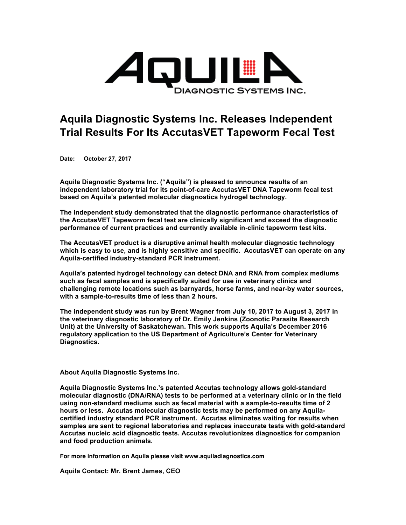

## **Aquila Diagnostic Systems Inc. Releases Independent Trial Results For Its AccutasVET Tapeworm Fecal Test**

**Date: October 27, 2017**

**Aquila Diagnostic Systems Inc. ("Aquila") is pleased to announce results of an independent laboratory trial for its point-of-care AccutasVET DNA Tapeworm fecal test based on Aquila's patented molecular diagnostics hydrogel technology.** 

**The independent study demonstrated that the diagnostic performance characteristics of the AccutasVET Tapeworm fecal test are clinically significant and exceed the diagnostic performance of current practices and currently available in-clinic tapeworm test kits.**

**The AccutasVET product is a disruptive animal health molecular diagnostic technology which is easy to use, and is highly sensitive and specific. AccutasVET can operate on any Aquila-certified industry-standard PCR instrument.**

**Aquila's patented hydrogel technology can detect DNA and RNA from complex mediums such as fecal samples and is specifically suited for use in veterinary clinics and challenging remote locations such as barnyards, horse farms, and near-by water sources, with a sample-to-results time of less than 2 hours.**

**The independent study was run by Brent Wagner from July 10, 2017 to August 3, 2017 in the veterinary diagnostic laboratory of Dr. Emily Jenkins (Zoonotic Parasite Research Unit) at the University of Saskatchewan. This work supports Aquila's December 2016 regulatory application to the US Department of Agriculture's Center for Veterinary Diagnostics.** 

## **About Aquila Diagnostic Systems Inc.**

**Aquila Diagnostic Systems Inc.'s patented Accutas technology allows gold-standard molecular diagnostic (DNA/RNA) tests to be performed at a veterinary clinic or in the field using non-standard mediums such as fecal material with a sample-to-results time of 2 hours or less. Accutas molecular diagnostic tests may be performed on any Aquilacertified industry standard PCR instrument. Accutas eliminates waiting for results when samples are sent to regional laboratories and replaces inaccurate tests with gold-standard Accutas nucleic acid diagnostic tests. Accutas revolutionizes diagnostics for companion and food production animals.**

**For more information on Aquila please visit www.aquiladiagnostics.com**

**Aquila Contact: Mr. Brent James, CEO**